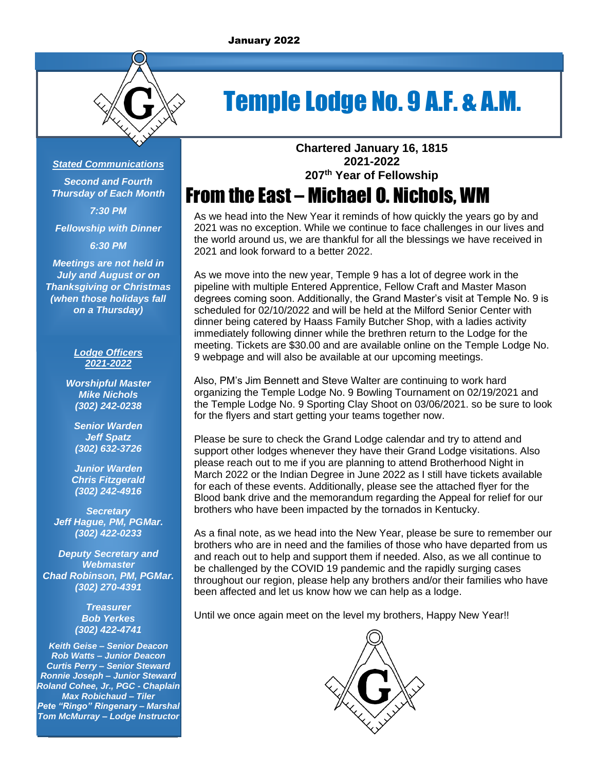

# Temple Lodge No. 9 A.F. & A.M.

#### *Stated Communications*

*Second and Fourth Thursday of Each Month 7:30 PM*

*Fellowship with Dinner*

*6:30 PM*

*Meetings are not held in July and August or on Thanksgiving or Christmas (when those holidays fall on a Thursday)*

#### *Lodge Officers 2021-2022*

*Worshipful Master Mike Nichols (302) 242-0238*

*Senior Warden Jeff Spatz (302) 632-3726*

*Junior Warden Chris Fitzgerald (302) 242-4916*

*Secretary Jeff Hague, PM, PGMar. (302) 422-0233*

*Deputy Secretary and Webmaster Chad Robinson, PM, PGMar. (302) 270-4391*

> *Treasurer Bob Yerkes (302) 422-4741*

*Keith Geise – Senior Deacon Rob Watts – Junior Deacon Curtis Perry – Senior Steward Ronnie Joseph – Junior Steward Roland Cohee, Jr., PGC - Chaplain Max Robichaud – Tiler Pete "Ringo" Ringenary – Marshal Tom McMurray – Lodge Instructor*

**Chartered January 16, 1815 2021-2022 207 th Year of Fellowship**

# From the East – Michael O. Nichols, WM

As we head into the New Year it reminds of how quickly the years go by and 2021 was no exception. While we continue to face challenges in our lives and the world around us, we are thankful for all the blessings we have received in 2021 and look forward to a better 2022.

As we move into the new year, Temple 9 has a lot of degree work in the pipeline with multiple Entered Apprentice, Fellow Craft and Master Mason degrees coming soon. Additionally, the Grand Master's visit at Temple No. 9 is scheduled for 02/10/2022 and will be held at the Milford Senior Center with dinner being catered by Haass Family Butcher Shop, with a ladies activity immediately following dinner while the brethren return to the Lodge for the meeting. Tickets are \$30.00 and are available online on the Temple Lodge No. 9 webpage and will also be available at our upcoming meetings.

Also, PM's Jim Bennett and Steve Walter are continuing to work hard organizing the Temple Lodge No. 9 Bowling Tournament on 02/19/2021 and the Temple Lodge No. 9 Sporting Clay Shoot on 03/06/2021. so be sure to look for the flyers and start getting your teams together now.

Please be sure to check the Grand Lodge calendar and try to attend and support other lodges whenever they have their Grand Lodge visitations. Also please reach out to me if you are planning to attend Brotherhood Night in March 2022 or the Indian Degree in June 2022 as I still have tickets available for each of these events. Additionally, please see the attached flyer for the Blood bank drive and the memorandum regarding the Appeal for relief for our brothers who have been impacted by the tornados in Kentucky.

As a final note, as we head into the New Year, please be sure to remember our brothers who are in need and the families of those who have departed from us and reach out to help and support them if needed. Also, as we all continue to be challenged by the COVID 19 pandemic and the rapidly surging cases throughout our region, please help any brothers and/or their families who have been affected and let us know how we can help as a lodge.

Until we once again meet on the level my brothers, Happy New Year!!